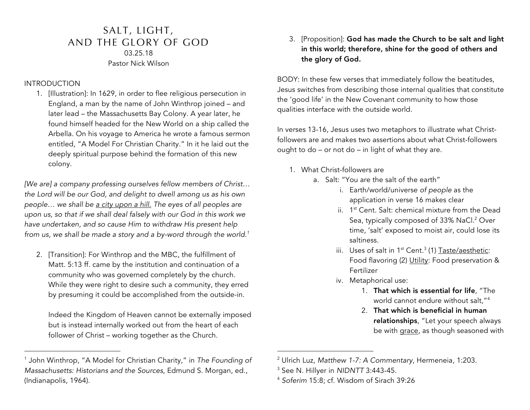## SALT, LIGHT, AND THE GLORY OF GOD 03.25.18 Pastor Nick Wilson

## INTRODUCTION

1

1. [Illustration]: In 1629, in order to flee religious persecution in England, a man by the name of John Winthrop joined – and later lead – the Massachusetts Bay Colony. A year later, he found himself headed for the New World on a ship called the Arbella. On his voyage to America he wrote a famous sermon entitled, "A Model For Christian Charity." In it he laid out the deeply spiritual purpose behind the formation of this new colony.

*[We are] a company professing ourselves fellow members of Christ… the Lord will be our God, and delight to dwell among us as his own people… we shall be a city upon a hill. The eyes of all peoples are upon us, so that if we shall deal falsely with our God in this work we have undertaken, and so cause Him to withdraw His present help from us, we shall be made a story and a by-word through the world.1*

2. [Transition]: For Winthrop and the MBC, the fulfillment of Matt. 5:13 ff. came by the institution and continuation of a community who was governed completely by the church. While they were right to desire such a community, they erred by presuming it could be accomplished from the outside-in.

Indeed the Kingdom of Heaven cannot be externally imposed but is instead internally worked out from the heart of each follower of Christ – working together as the Church.

3. [Proposition]: God has made the Church to be salt and light in this world; therefore, shine for the good of others and the glory of God.

BODY: In these few verses that immediately follow the beatitudes, Jesus switches from describing those internal qualities that constitute the 'good life' in the New Covenant community to how those qualities interface with the outside world.

In verses 13-16, Jesus uses two metaphors to illustrate what Christfollowers are and makes two assertions about what Christ-followers ought to do – or not do – in light of what they are.

- 1. What Christ-followers are
	- a. Salt: "You are the salt of the earth"
		- i. Earth/world/universe *of people* as the application in verse 16 makes clear
		- ii. 1st Cent. Salt: chemical mixture from the Dead Sea, typically composed of 33% NaCl.<sup>2</sup> Over time, 'salt' exposed to moist air, could lose its saltiness.
		- iii. Uses of salt in  $1^{st}$  Cent.<sup>3</sup> (1) Taste/aesthetic: Food flavoring (2) Utility: Food preservation & Fertilizer
		- iv. Metaphorical use:
			- 1. That which is essential for life, "The world cannot endure without salt,"4
			- 2. That which is beneficial in human relationships, "Let your speech always be with grace, as though seasoned with

-

<sup>1</sup> John Winthrop, "A Model for Christian Charity," in *The Founding of Massachusetts: Historians and the Sources*, Edmund S. Morgan, ed., (Indianapolis, 1964).

<sup>2</sup> Ulrich Luz, *Matthew 1-7: A Commentary*, Hermeneia, 1:203.

<sup>3</sup> See N. Hillyer in *NIDNTT* 3:443-45.

<sup>4</sup> *Soferim* 15:8; cf. Wisdom of Sirach 39:26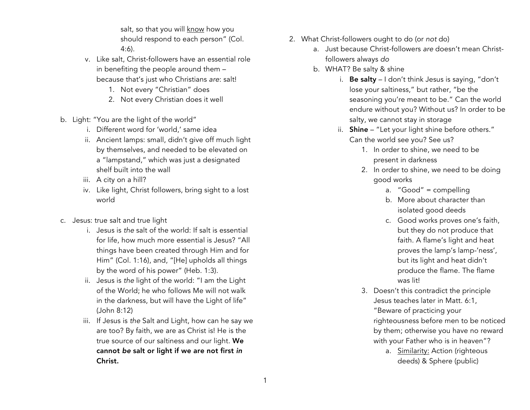salt, so that you will know how you should respond to each person" (Col. 4:6).

- v. Like salt, Christ-followers have an essential role in benefiting the people around them – because that's just who Christians *are*: salt!
	- 1. Not every "Christian" does
	- 2. Not every Christian does it well
- b. Light: "You are the light of the world"
	- i. Different word for 'world,' same idea
	- ii. Ancient lamps: small, didn't give off much light by themselves, and needed to be elevated on a "lampstand," which was just a designated shelf built into the wall
	- iii. A city on a hill?
	- iv. Like light, Christ followers, bring sight to a lost world
- c. Jesus: true salt and true light
	- i. Jesus is *the* salt of the world: If salt is essential for life, how much more essential is Jesus? "All things have been created through Him and for Him" (Col. 1:16), and, "[He] upholds all things by the word of his power" (Heb. 1:3).
	- ii. Jesus is *the* light of the world: "I am the Light of the World; he who follows Me will not walk in the darkness, but will have the Light of life" (John 8:12)
	- iii. If Jesus is *the* Salt and Light, how can he say we are too? By faith, we are as Christ is! He is the true source of our saltiness and our light. We cannot *be* salt or light if we are not first *in*  Christ.
- 2. What Christ-followers ought to do (or *not* do)
	- a. Just because Christ-followers *are* doesn't mean Christfollowers always *do*
	- b. WHAT? Be salty & shine
		- i. Be salty I don't think Jesus is saying, "don't lose your saltiness," but rather, "be the seasoning you're meant to be." Can the world endure without you? Without us? In order to be salty, we cannot stay in storage
		- ii. Shine "Let your light shine before others." Can the world see you? See us?
			- 1. In order to shine, we need to be present in darkness
			- 2. In order to shine, we need to be doing good works
				- a. "Good" = compelling
				- b. More about character than isolated good deeds
				- c. Good works proves one's faith, but they do not produce that faith. A flame's light and heat proves the lamp's lamp-'ness', but its light and heat didn't produce the flame. The flame was lit!
			- 3. Doesn't this contradict the principle Jesus teaches later in Matt. 6:1, "Beware of practicing your righteousness before men to be noticed by them; otherwise you have no reward with your Father who is in heaven"?
				- a. **Similarity:** Action (righteous deeds) & Sphere (public)